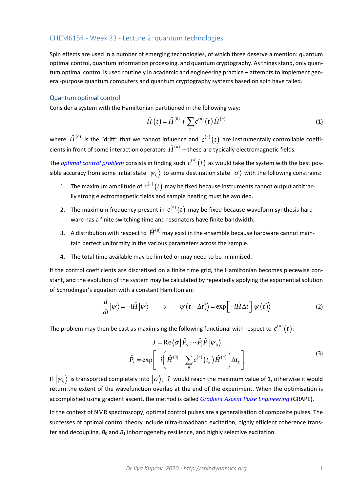## CHEM6154 ‐ Week 33 ‐ Lecture 2: quantum technologies

Spin effects are used in a number of emerging technologies, of which three deserve a mention: quantum optimal control, quantum information processing, and quantum cryptography. As things stand, only quan‐ tum optimal control is used routinely in academic and engineering practice – attempts to implement gen‐ eral-purpose quantum computers and quantum cryptography systems based on spin have failed.

## Quantum optimal control

Consider a system with the Hamiltonian partitioned in the following way:

$$
\hat{H}(t) = \hat{H}^{(0)} + \sum_{n} c^{(n)}(t) \hat{H}^{(n)}
$$
\n(1)

where  $\hat{H}^{(0)}$  is the "drift" that we cannot influence and  $\,c^{(n)}(t)\,$  are instrumentally controllable coefficients in front of some interaction operators  $\hat{H}^{(n)}$  – these are typically electromagnetic fields.

The *optimal control problem* consists in finding such  $c^{(n)}(t)$  as would take the system with the best possible accuracy from some initial state  $|\psi_0\rangle$  to some destination state  $|\sigma\rangle$  with the following constrains:

- 1. The maximum amplitude of  $c^{(n)}(t)$  may be fixed because instruments cannot output arbitrarily strong electromagnetic fields and sample heating must be avoided.
- 2. The maximum frequency present in  $c^{(n)}(t)$  may be fixed because waveform synthesis hardware has a finite switching time and resonators have finite bandwidth.
- 3. A distribution with respect to  $\hat{H}^{(0)}$  may exist in the ensemble because hardware cannot maintain perfect uniformity in the various parameters across the sample.
- 4. The total time available may be limited or may need to be minimised.

If the control coefficients are discretised on a finite time grid, the Hamiltonian becomes piecewise constant, and the evolution of the system may be calculated by repeatedly applying the exponential solution of Schrödinger's equation with a constant Hamiltonian:

$$
\frac{d}{dt}|\psi\rangle = -i\hat{H}|\psi\rangle \qquad \Rightarrow \qquad |\psi(t+\Delta t)\rangle = \exp\left[-i\hat{H}\Delta t\right]|\psi(t)\rangle \tag{2}
$$

The problem may then be cast as maximising the following functional with respect to  $c^{(n)}(t)$ :

$$
J = \text{Re}\left\langle \sigma \left| \hat{P}_N \cdots \hat{P}_2 \hat{P}_1 \right| \psi_0 \right\rangle
$$
  

$$
\hat{P}_k = \exp\left[ -i \left( \hat{H}^{(0)} + \sum_n c^{(n)} \left( t_k \right) \hat{H}^{(n)} \right) \Delta t_k \right]
$$
 (3)

If  $|\psi_0\rangle$  is transported completely into  $|\sigma\rangle$ , *J* would reach the maximum value of 1, otherwise it would return the extent of the wavefunction overlap at the end of the experiment. When the optimisation is accomplished using gradient ascent, the method is called *Gradient Ascent Pulse Engineering* (GRAPE).

In the context of NMR spectroscopy, optimal control pulses are a generalisation of composite pulses. The successes of optimal control theory include ultra-broadband excitation, highly efficient coherence transfer and decoupling,  $B_0$  and  $B_1$  inhomogeneity resilience, and highly selective excitation.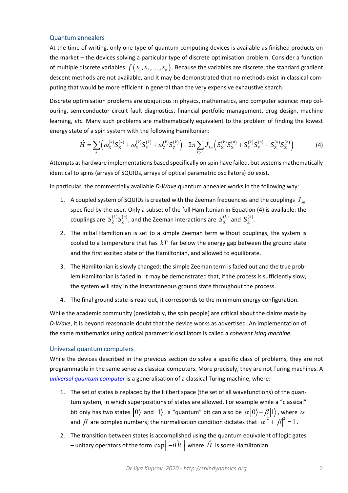## Quantum annealers

At the time of writing, only one type of quantum computing devices is available as finished products on the market – the devices solving a particular type of discrete optimisation problem. Consider a function of multiple discrete variables  $f(x_1, x_2, ..., x_n)$ . Because the variables are discrete, the standard gradient descent methods are not available, and it may be demonstrated that no methods exist in classical computing that would be more efficient in general than the very expensive exhaustive search.

Discrete optimisation problems are ubiquitous in physics, mathematics, and computer science: map col‐ ouring, semiconductor circuit fault diagnostics, financial portfolio management, drug design, machine learning, *etc.* Many such problems are mathematically equivalent to the problem of finding the lowest energy state of a spin system with the following Hamiltonian:

$$
\hat{H} = \sum_{k} \left( \omega_{\mathbf{X}}^{(k)} S_{\mathbf{X}}^{(k)} + \omega_{\mathbf{Y}}^{(k)} S_{\mathbf{Y}}^{(k)} + \omega_{\mathbf{Z}}^{(k)} S_{\mathbf{Z}}^{(k)} \right) + 2\pi \sum_{k>n} J_{kn} \left( S_{\mathbf{X}}^{(k)} S_{\mathbf{X}}^{(n)} + S_{\mathbf{Y}}^{(k)} S_{\mathbf{Y}}^{(n)} + S_{\mathbf{Z}}^{(k)} S_{\mathbf{Z}}^{(n)} \right)
$$
(4)

Attempts at hardware implementations based specifically on spin have failed, but systems mathematically identical to spins (arrays of SQUIDs, arrays of optical parametric oscillators) do exist.

In particular, the commercially available *D*-Wave quantum annealer works in the following way:

- 1. A coupled system of SQUIDs is created with the Zeeman frequencies and the couplings  $J_{\mu}$ specified by the user. Only a subset of the full Hamiltonian in Equation (4) is available: the couplings are  $S^{(k)}_{Z} S^{(n)}_{Z}$ , and the Zeeman interactions are  $S^{(k)}_{X}$  and  $S^{(k)}_{Z}$ .
- 2. The initial Hamiltonian is set to a simple Zeeman term without couplings, the system is cooled to a temperature that has *kT* far below the energy gap between the ground state and the first excited state of the Hamiltonian, and allowed to equilibrate.
- 3. The Hamiltonian is slowly changed: the simple Zeeman term is faded out and the true prob‐ lem Hamiltonian is faded in. It may be demonstrated that, if the process is sufficiently slow, the system will stay in the instantaneous ground state throughout the process.
- 4. The final ground state is read out, it corresponds to the minimum energy configuration.

While the academic community (predictably, the spin people) are critical about the claims made by *D‐Wave*, it is beyond reasonable doubt that the device works as advertised. An implementation of the same mathematics using optical parametric oscillators is called a *coherent Ising machine*.

## Universal quantum computers

While the devices described in the previous section do solve a specific class of problems, they are not programmable in the same sense as classical computers. More precisely, they are not Turing machines. A *universal quantum computer* is a generalisation of a classical Turing machine, where:

- 1. The set of states is replaced by the Hilbert space (the set of all wavefunctions) of the quan‐ tum system, in which superpositions of states are allowed. For example while a "classical" bit only has two states  $|0\rangle$  and  $|1\rangle$ , a "quantum" bit can also be  $\alpha|0\rangle + \beta|1\rangle$ , where  $\alpha$ and  $\beta$  are complex numbers; the normalisation condition dictates that  $|\alpha|^2 + |\beta|^2 = 1$ .
- 2. The transition between states is accomplished using the quantum equivalent of logic gates – unitary operators of the form  $\exp\left(-i\hat{H}t\right)$  where  $\hat{H}$  is some Hamiltonian.